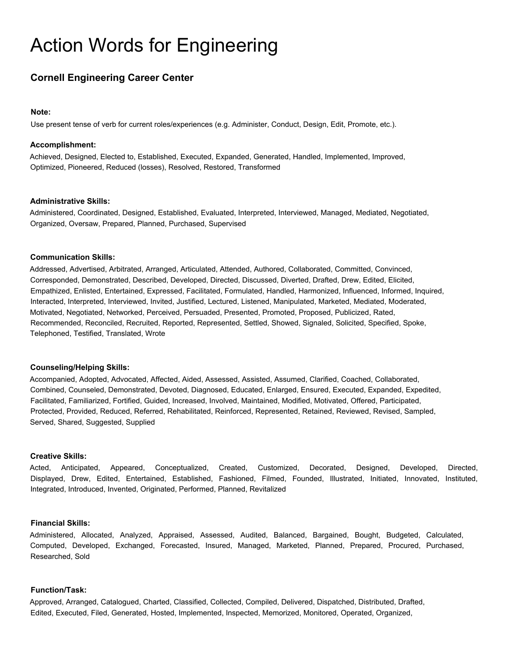# Action Words for Engineering

# **Cornell Engineering Career Center**

#### **Note:**

Use present tense of verb for current roles/experiences (e.g. Administer, Conduct, Design, Edit, Promote, etc.).

#### **Accomplishment:**

Achieved, Designed, Elected to, Established, Executed, Expanded, Generated, Handled, Implemented, Improved, Optimized, Pioneered, Reduced (losses), Resolved, Restored, Transformed

#### **Administrative Skills:**

Administered, Coordinated, Designed, Established, Evaluated, Interpreted, Interviewed, Managed, Mediated, Negotiated, Organized, Oversaw, Prepared, Planned, Purchased, Supervised

#### **Communication Skills:**

Addressed, Advertised, Arbitrated, Arranged, Articulated, Attended, Authored, Collaborated, Committed, Convinced, Corresponded, Demonstrated, Described, Developed, Directed, Discussed, Diverted, Drafted, Drew, Edited, Elicited, Empathized, Enlisted, Entertained, Expressed, Facilitated, Formulated, Handled, Harmonized, Influenced, Informed, Inquired, Interacted, Interpreted, Interviewed, Invited, Justified, Lectured, Listened, Manipulated, Marketed, Mediated, Moderated, Motivated, Negotiated, Networked, Perceived, Persuaded, Presented, Promoted, Proposed, Publicized, Rated, Recommended, Reconciled, Recruited, Reported, Represented, Settled, Showed, Signaled, Solicited, Specified, Spoke, Telephoned, Testified, Translated, Wrote

#### **Counseling/Helping Skills:**

Accompanied, Adopted, Advocated, Affected, Aided, Assessed, Assisted, Assumed, Clarified, Coached, Collaborated, Combined, Counseled, Demonstrated, Devoted, Diagnosed, Educated, Enlarged, Ensured, Executed, Expanded, Expedited, Facilitated, Familiarized, Fortified, Guided, Increased, Involved, Maintained, Modified, Motivated, Offered, Participated, Protected, Provided, Reduced, Referred, Rehabilitated, Reinforced, Represented, Retained, Reviewed, Revised, Sampled, Served, Shared, Suggested, Supplied

#### **Creative Skills:**

Acted, Anticipated, Appeared, Conceptualized, Created, Customized, Decorated, Designed, Developed, Directed, Displayed, Drew, Edited, Entertained, Established, Fashioned, Filmed, Founded, Illustrated, Initiated, Innovated, Instituted, Integrated, Introduced, Invented, Originated, Performed, Planned, Revitalized

#### **Financial Skills:**

Administered, Allocated, Analyzed, Appraised, Assessed, Audited, Balanced, Bargained, Bought, Budgeted, Calculated, Computed, Developed, Exchanged, Forecasted, Insured, Managed, Marketed, Planned, Prepared, Procured, Purchased, Researched, Sold

#### **Function/Task:**

Approved, Arranged, Catalogued, Charted, Classified, Collected, Compiled, Delivered, Dispatched, Distributed, Drafted, Edited, Executed, Filed, Generated, Hosted, Implemented, Inspected, Memorized, Monitored, Operated, Organized,